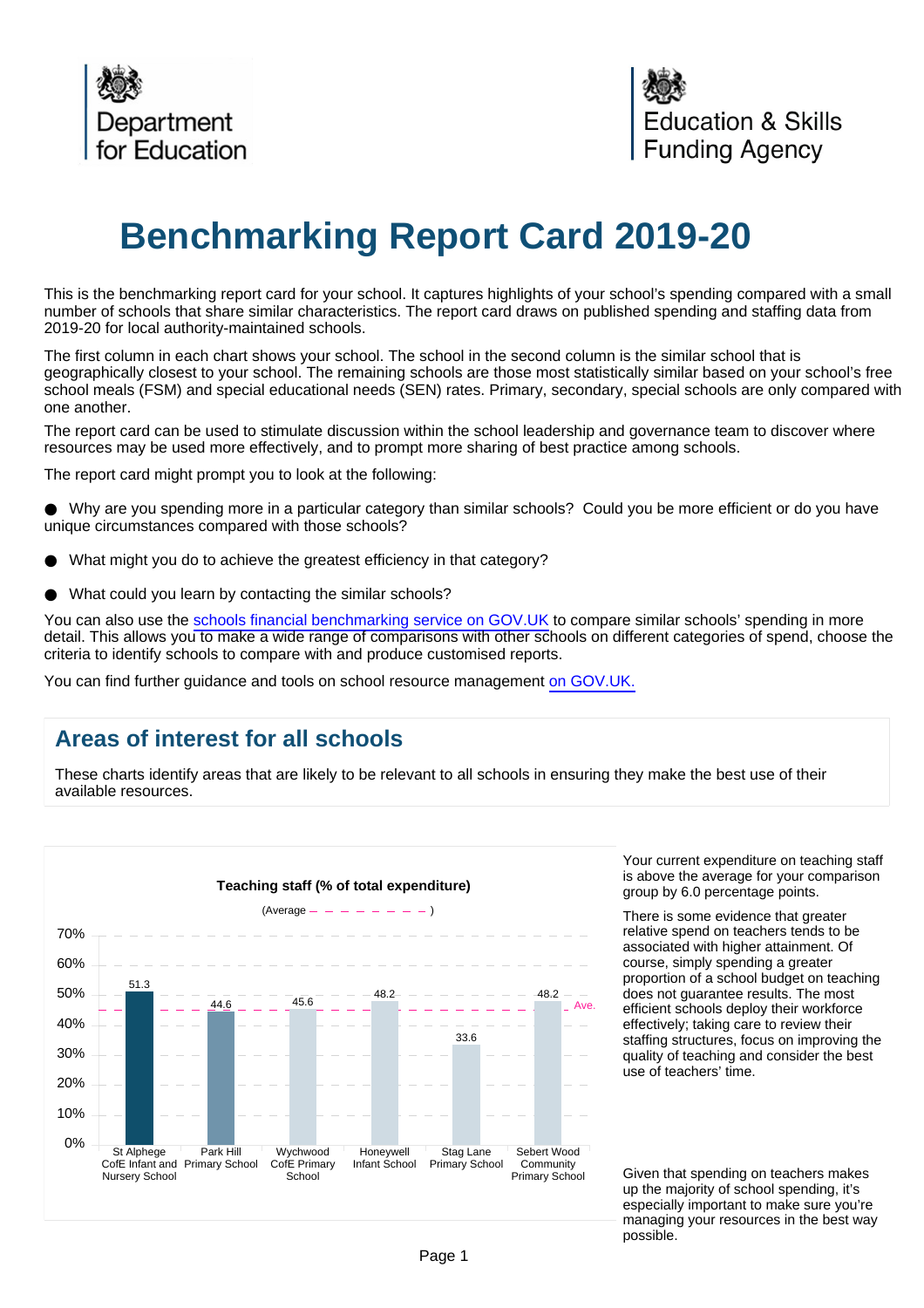

# **Benchmarking Report Card 2019-20**

This is the benchmarking report card for your school. It captures highlights of your school's spending compared with a small number of schools that share similar characteristics. The report card draws on published spending and staffing data from 2019-20 for local authority-maintained schools.

The first column in each chart shows your school. The school in the second column is the similar school that is geographically closest to your school. The remaining schools are those most statistically similar based on your school's free school meals (FSM) and special educational needs (SEN) rates. Primary, secondary, special schools are only compared with one another.

The report card can be used to stimulate discussion within the school leadership and governance team to discover where resources may be used more effectively, and to prompt more sharing of best practice among schools.

The report card might prompt you to look at the following:

Why are you spending more in a particular category than similar schools? Could you be more efficient or do you have unique circumstances compared with those schools?

- What might you do to achieve the greatest efficiency in that category?
- What could you learn by contacting the similar schools?

You can also use the [schools financial benchmarking service on GOV.UK](https://schools-financial-benchmarking.service.gov.uk/?utm_source=brc_academies_18-19&utm_medium=email) to compare similar schools' spending in more detail. This allows you to make a wide range of comparisons with other schools on different categories of spend, choose the criteria to identify schools to compare with and produce customised reports.

You can find further guidance and tools on school resource management [on GOV.UK.](https://www.gov.uk/government/collections/schools-financial-health-and-efficiency)

## **Areas of interest for all schools**

These charts identify areas that are likely to be relevant to all schools in ensuring they make the best use of their available resources.



Your current expenditure on teaching staff is above the average for your comparison group by 6.0 percentage points.

There is some evidence that greater relative spend on teachers tends to be associated with higher attainment. Of course, simply spending a greater proportion of a school budget on teaching does not guarantee results. The most efficient schools deploy their workforce effectively; taking care to review their staffing structures, focus on improving the quality of teaching and consider the best use of teachers' time.

Given that spending on teachers makes up the majority of school spending, it's especially important to make sure you're managing your resources in the best way possible.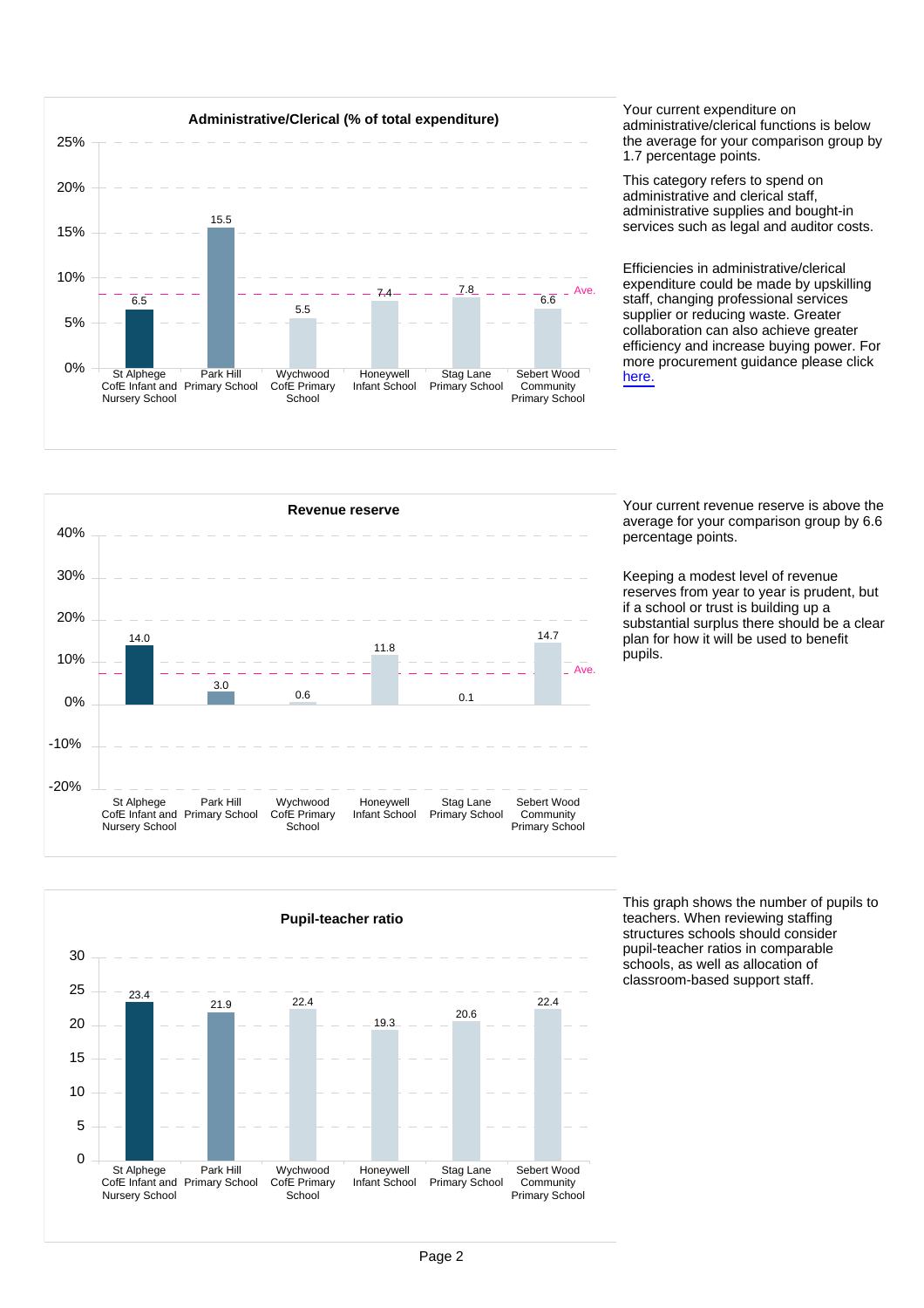

administrative/clerical functions is below the average for your comparison group by 1.7 percentage points.

This category refers to spend on administrative and clerical staff, administrative supplies and bought-in services such as legal and auditor costs.

Efficiencies in administrative/clerical expenditure could be made by upskilling staff, changing professional services supplier or reducing waste. Greater collaboration can also achieve greater efficiency and increase buying power. For more procurement guidance please click [here.](https://www.gov.uk/guidance/buying-for-schools)



average for your comparison group by 6.6 percentage points.

Keeping a modest level of revenue reserves from year to year is prudent, but if a school or trust is building up a substantial surplus there should be a clear plan for how it will be used to benefit .<br>pupils.



This graph shows the number of pupils to teachers. When reviewing staffing structures schools should consider pupil-teacher ratios in comparable schools, as well as allocation of classroom-based support staff.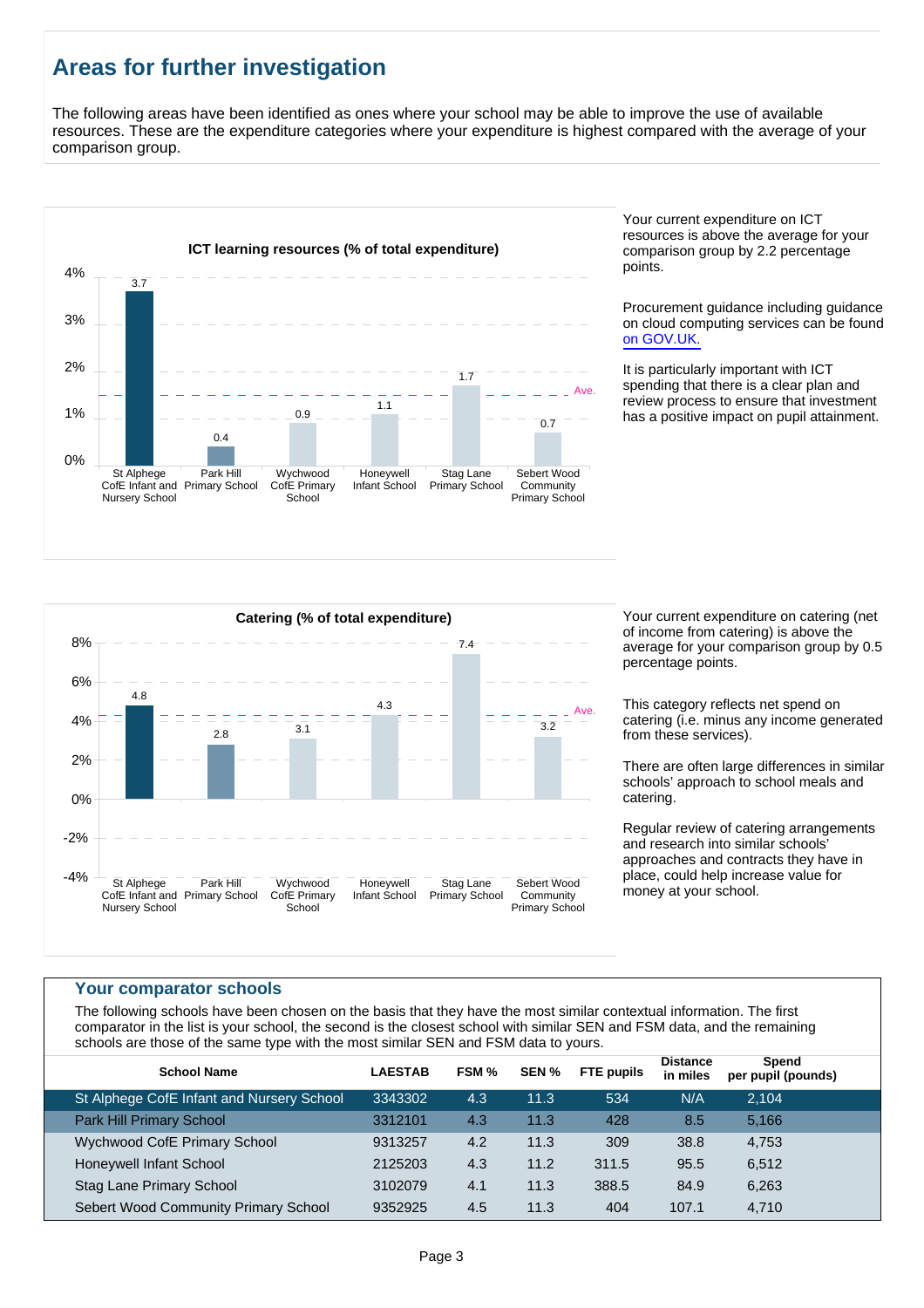# **Areas for further investigation**

The following areas have been identified as ones where your school may be able to improve the use of available resources. These are the expenditure categories where your expenditure is highest compared with the average of your comparison group.



Your current expenditure on ICT resources is above the average for your comparison group by 2.2 percentage points.

Procurement guidance including guidance on cloud computing services can be found [on GOV.UK.](https://www.gov.uk/government/publications/cloud-computing-how-schools-can-move-services-to-the-cloud)

It is particularly important with ICT spending that there is a clear plan and review process to ensure that investment has a positive impact on pupil attainment.



of income from catering) is above the average for your comparison group by 0.5 percentage points.

This category reflects net spend on catering (i.e. minus any income generated from these services).

There are often large differences in similar schools' approach to school meals and catering.

Regular review of catering arrangements and research into similar schools' approaches and contracts they have in place, could help increase value for money at your school.

#### **Your comparator schools**

The following schools have been chosen on the basis that they have the most similar contextual information. The first comparator in the list is your school, the second is the closest school with similar SEN and FSM data, and the remaining schools are those of the same type with the most similar SEN and FSM data to yours.

| <b>School Name</b>                        | <b>LAESTAB</b> | FSM % | SEN % | <b>FTE</b> pupils | <b>Distance</b><br>in miles | Spend<br>per pupil (pounds) |  |
|-------------------------------------------|----------------|-------|-------|-------------------|-----------------------------|-----------------------------|--|
| St Alphege CofE Infant and Nursery School | 3343302        | 4.3   | 11.3  | 534               | N/A                         | 2.104                       |  |
| <b>Park Hill Primary School</b>           | 3312101        | 4.3   | 11.3  | 428               | 8.5                         | 5,166                       |  |
| <b>Wychwood CofE Primary School</b>       | 9313257        | 4.2   | 11.3  | 309               | 38.8                        | 4,753                       |  |
| Honeywell Infant School                   | 2125203        | 4.3   | 11.2  | 311.5             | 95.5                        | 6,512                       |  |
| <b>Stag Lane Primary School</b>           | 3102079        | 4.1   | 11.3  | 388.5             | 84.9                        | 6,263                       |  |
| Sebert Wood Community Primary School      | 9352925        | 4.5   | 11.3  | 404               | 107.1                       | 4,710                       |  |